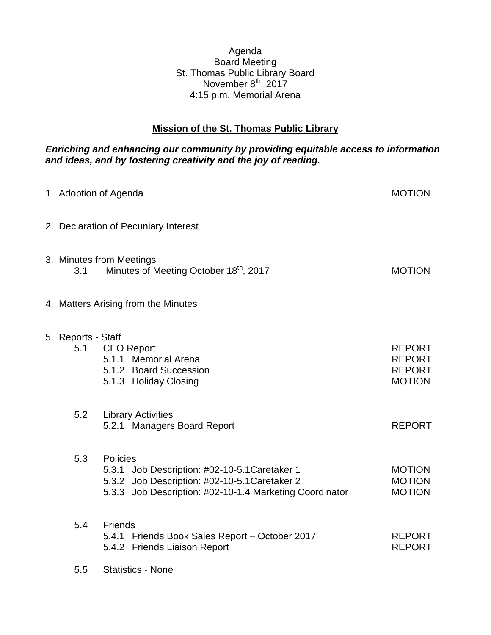## Agenda Board Meeting St. Thomas Public Library Board November 8<sup>th</sup>, 2017 4:15 p.m. Memorial Arena

## **Mission of the St. Thomas Public Library**

## *Enriching and enhancing our community by providing equitable access to information and ideas, and by fostering creativity and the joy of reading.*

| 1. Adoption of Agenda     |                                                                                                                                                                       | <b>MOTION</b>                                                    |
|---------------------------|-----------------------------------------------------------------------------------------------------------------------------------------------------------------------|------------------------------------------------------------------|
|                           | 2. Declaration of Pecuniary Interest                                                                                                                                  |                                                                  |
| 3.1                       | 3. Minutes from Meetings<br>Minutes of Meeting October 18th, 2017                                                                                                     | <b>MOTION</b>                                                    |
|                           | 4. Matters Arising from the Minutes                                                                                                                                   |                                                                  |
| 5. Reports - Staff<br>5.1 | <b>CEO Report</b><br>5.1.1 Memorial Arena<br>5.1.2 Board Succession<br>5.1.3 Holiday Closing                                                                          | <b>REPORT</b><br><b>REPORT</b><br><b>REPORT</b><br><b>MOTION</b> |
| 5.2                       | <b>Library Activities</b><br>5.2.1 Managers Board Report                                                                                                              | <b>REPORT</b>                                                    |
| 5.3                       | Policies<br>5.3.1 Job Description: #02-10-5.1 Caretaker 1<br>5.3.2 Job Description: #02-10-5.1 Caretaker 2<br>5.3.3 Job Description: #02-10-1.4 Marketing Coordinator | <b>MOTION</b><br><b>MOTION</b><br><b>MOTION</b>                  |
| 5.4                       | <b>Friends</b><br>5.4.1 Friends Book Sales Report - October 2017<br>5.4.2 Friends Liaison Report                                                                      | <b>REPORT</b><br><b>REPORT</b>                                   |
| 5.5                       | <b>Statistics - None</b>                                                                                                                                              |                                                                  |